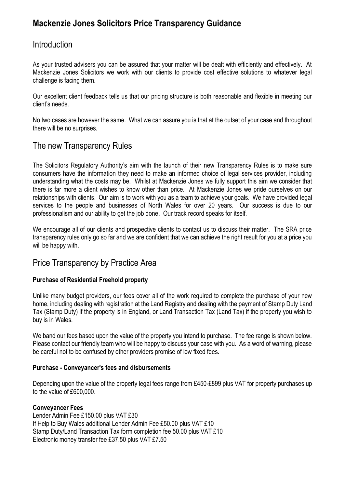# **Mackenzie Jones Solicitors Price Transparency Guidance**

# **Introduction**

As your trusted advisers you can be assured that your matter will be dealt with efficiently and effectively. At Mackenzie Jones Solicitors we work with our clients to provide cost effective solutions to whatever legal challenge is facing them.

Our excellent client feedback tells us that our pricing structure is both reasonable and flexible in meeting our client's needs.

No two cases are however the same. What we can assure you is that at the outset of your case and throughout there will be no surprises.

# The new Transparency Rules

The Solicitors Regulatory Authority's aim with the launch of their new Transparency Rules is to make sure consumers have the information they need to make an informed choice of legal services provider, including understanding what the costs may be. Whilst at Mackenzie Jones we fully support this aim we consider that there is far more a client wishes to know other than price. At Mackenzie Jones we pride ourselves on our relationships with clients. Our aim is to work with you as a team to achieve your goals. We have provided legal services to the people and businesses of North Wales for over 20 years. Our success is due to our professionalism and our ability to get the job done. Our track record speaks for itself.

We encourage all of our clients and prospective clients to contact us to discuss their matter. The SRA price transparency rules only go so far and we are confident that we can achieve the right result for you at a price you will be happy with.

# Price Transparency by Practice Area

### **Purchase of Residential Freehold property**

Unlike many budget providers, our fees cover all of the work required to complete the purchase of your new home, including dealing with registration at the Land Registry and dealing with the payment of Stamp Duty Land Tax (Stamp Duty) if the property is in England, or Land Transaction Tax (Land Tax) if the property you wish to buy is in Wales.

We band our fees based upon the value of the property you intend to purchase. The fee range is shown below. Please contact our friendly team who will be happy to discuss your case with you. As a word of warning, please be careful not to be confused by other providers promise of low fixed fees.

### **Purchase - Conveyancer's fees and disbursements**

Depending upon the value of the property legal fees range from £450-£899 plus VAT for property purchases up to the value of £600,000.

#### **Conveyancer Fees**

Lender Admin Fee £150.00 plus VAT £30 If Help to Buy Wales additional Lender Admin Fee £50.00 plus VAT £10 Stamp Duty/Land Transaction Tax form completion fee 50.00 plus VAT £10 Electronic money transfer fee £37.50 plus VAT £7.50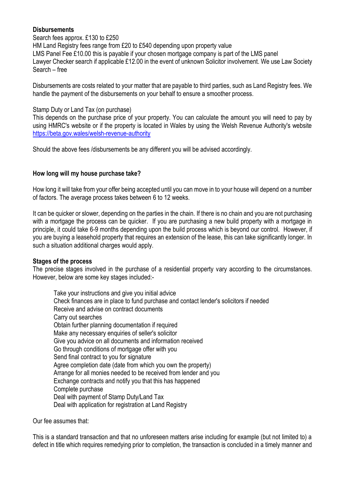### **Disbursements**

Search fees approx. £130 to £250

HM Land Registry fees range from £20 to £540 depending upon property value LMS Panel Fee £10.00 this is payable if your chosen mortgage company is part of the LMS panel Lawyer Checker search if applicable £12.00 in the event of unknown Solicitor involvement. We use Law Society Search – free

Disbursements are costs related to your matter that are payable to third parties, such as Land Registry fees. We handle the payment of the disbursements on your behalf to ensure a smoother process.

#### Stamp Duty or Land Tax (on purchase)

This depends on the purchase price of your property. You can calculate the amount you will need to pay by using HMRC's website or if the property is located in Wales by using the Welsh Revenue Authority's website <https://beta.gov.wales/welsh-revenue-authority>

Should the above fees /disbursements be any different you will be advised accordingly.

#### **How long will my house purchase take?**

How long it will take from your offer being accepted until you can move in to your house will depend on a number of factors. The average process takes between 6 to 12 weeks.

It can be quicker or slower, depending on the parties in the chain. If there is no chain and you are not purchasing with a mortgage the process can be quicker. If you are purchasing a new build property with a mortgage in principle, it could take 6-9 months depending upon the build process which is beyond our control. However, if you are buying a leasehold property that requires an extension of the lease, this can take significantly longer. In such a situation additional charges would apply.

#### **Stages of the process**

The precise stages involved in the purchase of a residential property vary according to the circumstances. However, below are some key stages included:-

Take your instructions and give you initial advice Check finances are in place to fund purchase and contact lender's solicitors if needed Receive and advise on contract documents Carry out searches Obtain further planning documentation if required Make any necessary enquiries of seller's solicitor Give you advice on all documents and information received Go through conditions of mortgage offer with you Send final contract to you for signature Agree completion date (date from which you own the property) Arrange for all monies needed to be received from lender and you Exchange contracts and notify you that this has happened Complete purchase Deal with payment of Stamp Duty/Land Tax Deal with application for registration at Land Registry

Our fee assumes that:

This is a standard transaction and that no unforeseen matters arise including for example (but not limited to) a defect in title which requires remedying prior to completion, the transaction is concluded in a timely manner and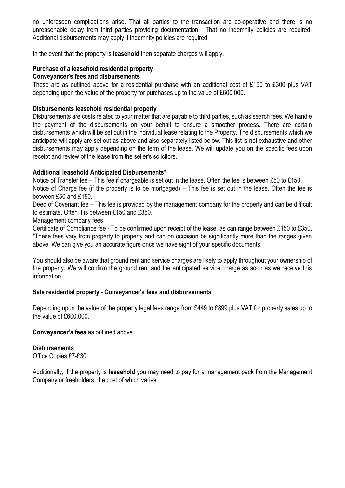no unforeseen complications arise. That all parties to the transaction are co-operative and there is no unreasonable delay from third parties providing documentation. That no indemnity policies are required. Additional disbursements may apply if indemnity policies are required.

In the event that the property is **leasehold** then separate charges will apply.

# **Purchase of a leasehold residential property**

## **Conveyancer's fees and disbursements**

These are as outlined above for a residential purchase with an additional cost of £150 to £300 plus VAT depending upon the value of the property for purchases up to the value of £600,000.

### **Disbursements leasehold residential property**

Disbursements are costs related to your matter that are payable to third parties, such as search fees. We handle the payment of the disbursements on your behalf to ensure a smoother process. There are certain disbursements which will be set out in the individual lease relating to the Property. The disbursements which we anticipate will apply are set out as above and also separately listed below. This list is not exhaustive and other disbursements may apply depending on the term of the lease. We will update you on the specific fees upon receipt and review of the lease from the seller's solicitors.

#### **Additional leasehold Anticipated Disbursements**\*

Notice of Transfer fee – This fee if chargeable is set out in the lease. Often the fee is between £50 to £150. Notice of Charge fee (if the property is to be mortgaged) – This fee is set out in the lease. Often the fee is between £50 and £150.

Deed of Covenant fee – This fee is provided by the management company for the property and can be difficult to estimate. Often it is between £150 and £350.

Management company fees

Certificate of Compliance fee - To be confirmed upon receipt of the lease, as can range between £150 to £350. \*These fees vary from property to property and can on occasion be significantly more than the ranges given above. We can give you an accurate figure once we have sight of your specific documents.

You should also be aware that ground rent and service charges are likely to apply throughout your ownership of the property. We will confirm the ground rent and the anticipated service charge as soon as we receive this information.

### **Sale residential property - Conveyancer's fees and disbursements**

Depending upon the value of the property legal fees range from £449 to £899 plus VAT for property sales up to the value of £600,000.

#### **Conveyancer's fees** as outlined above.

### **Disbursements**

Office Copies £7-£30

Additionally, if the property is **leasehold** you may need to pay for a management pack from the Management Company or freeholders, the cost of which varies.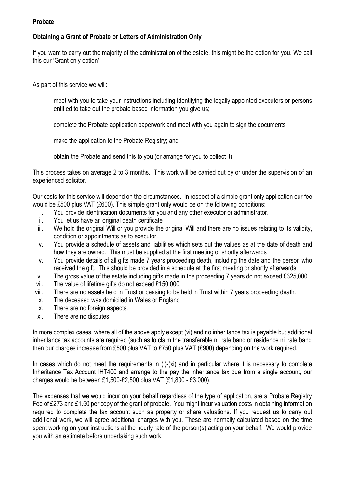### **Probate**

# **Obtaining a Grant of Probate or Letters of Administration Only**

If you want to carry out the majority of the administration of the estate, this might be the option for you. We call this our 'Grant only option'.

As part of this service we will:

meet with you to take your instructions including identifying the legally appointed executors or persons entitled to take out the probate based information you give us;

complete the Probate application paperwork and meet with you again to sign the documents

make the application to the Probate Registry; and

obtain the Probate and send this to you (or arrange for you to collect it)

This process takes on average 2 to 3 months. This work will be carried out by or under the supervision of an experienced solicitor.

Our costs for this service will depend on the circumstances. In respect of a simple grant only application our fee would be £500 plus VAT (£600). This simple grant only would be on the following conditions:

- i. You provide identification documents for you and any other executor or administrator.
- ii. You let us have an original death certificate
- iii. We hold the original Will or you provide the original Will and there are no issues relating to its validity, condition or appointments as to executor.
- iv. You provide a schedule of assets and liabilities which sets out the values as at the date of death and how they are owned. This must be supplied at the first meeting or shortly afterwards
- v. You provide details of all gifts made 7 years proceeding death, including the date and the person who received the gift. This should be provided in a schedule at the first meeting or shortly afterwards.
- vi. The gross value of the estate including gifts made in the proceeding 7 years do not exceed £325,000
- vii. The value of lifetime gifts do not exceed £150,000
- viii. There are no assets held in Trust or ceasing to be held in Trust within 7 years proceeding death.
- ix. The deceased was domiciled in Wales or England
- x. There are no foreign aspects.
- xi. There are no disputes.

In more complex cases, where all of the above apply except (vi) and no inheritance tax is payable but additional inheritance tax accounts are required (such as to claim the transferable nil rate band or residence nil rate band then our charges increase from £500 plus VAT to £750 plus VAT (£900) depending on the work required.

In cases which do not meet the requirements in (i)-(xi) and in particular where it is necessary to complete Inheritance Tax Account IHT400 and arrange to the pay the inheritance tax due from a single account, our charges would be between £1,500-£2,500 plus VAT (£1,800 - £3,000).

The expenses that we would incur on your behalf regardless of the type of application, are a Probate Registry Fee of £273 and £1.50 per copy of the grant of probate. You might incur valuation costs in obtaining information required to complete the tax account such as property or share valuations. If you request us to carry out additional work, we will agree additional charges with you. These are normally calculated based on the time spent working on your instructions at the hourly rate of the person(s) acting on your behalf. We would provide you with an estimate before undertaking such work.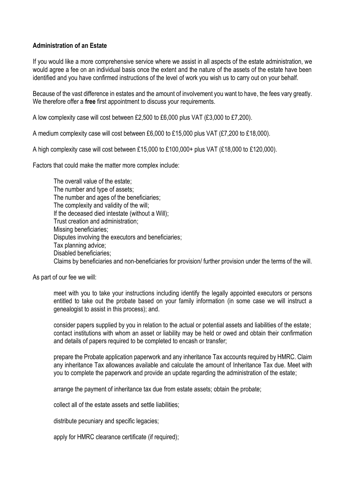## **Administration of an Estate**

If you would like a more comprehensive service where we assist in all aspects of the estate administration, we would agree a fee on an individual basis once the extent and the nature of the assets of the estate have been identified and you have confirmed instructions of the level of work you wish us to carry out on your behalf.

Because of the vast difference in estates and the amount of involvement you want to have, the fees vary greatly. We therefore offer a **free** first appointment to discuss your requirements.

A low complexity case will cost between £2,500 to £6,000 plus VAT (£3,000 to £7,200).

A medium complexity case will cost between £6,000 to £15,000 plus VAT (£7,200 to £18,000).

A high complexity case will cost between £15,000 to £100,000+ plus VAT (£18,000 to £120,000).

Factors that could make the matter more complex include:

The overall value of the estate; The number and type of assets; The number and ages of the beneficiaries; The complexity and validity of the will; If the deceased died intestate (without a Will); Trust creation and administration; Missing beneficiaries; Disputes involving the executors and beneficiaries; Tax planning advice; Disabled beneficiaries; Claims by beneficiaries and non-beneficiaries for provision/ further provision under the terms of the will.

As part of our fee we will:

meet with you to take your instructions including identify the legally appointed executors or persons entitled to take out the probate based on your family information (in some case we will instruct a genealogist to assist in this process); and.

consider papers supplied by you in relation to the actual or potential assets and liabilities of the estate; contact institutions with whom an asset or liability may be held or owed and obtain their confirmation and details of papers required to be completed to encash or transfer;

prepare the Probate application paperwork and any inheritance Tax accounts required by HMRC. Claim any inheritance Tax allowances available and calculate the amount of Inheritance Tax due. Meet with you to complete the paperwork and provide an update regarding the administration of the estate;

arrange the payment of inheritance tax due from estate assets; obtain the probate;

collect all of the estate assets and settle liabilities;

distribute pecuniary and specific legacies;

apply for HMRC clearance certificate (if required);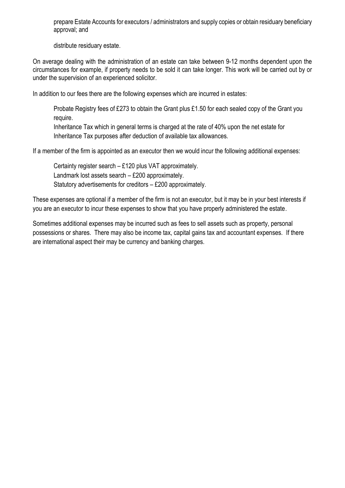prepare Estate Accounts for executors / administrators and supply copies or obtain residuary beneficiary approval; and

distribute residuary estate.

On average dealing with the administration of an estate can take between 9-12 months dependent upon the circumstances for example, if property needs to be sold it can take longer. This work will be carried out by or under the supervision of an experienced solicitor.

In addition to our fees there are the following expenses which are incurred in estates:

Probate Registry fees of £273 to obtain the Grant plus £1.50 for each sealed copy of the Grant you require.

Inheritance Tax which in general terms is charged at the rate of 40% upon the net estate for Inheritance Tax purposes after deduction of available tax allowances.

If a member of the firm is appointed as an executor then we would incur the following additional expenses:

Certainty register search – £120 plus VAT approximately. Landmark lost assets search – £200 approximately. Statutory advertisements for creditors – £200 approximately.

These expenses are optional if a member of the firm is not an executor, but it may be in your best interests if you are an executor to incur these expenses to show that you have properly administered the estate.

Sometimes additional expenses may be incurred such as fees to sell assets such as property, personal possessions or shares. There may also be income tax, capital gains tax and accountant expenses. If there are international aspect their may be currency and banking charges.